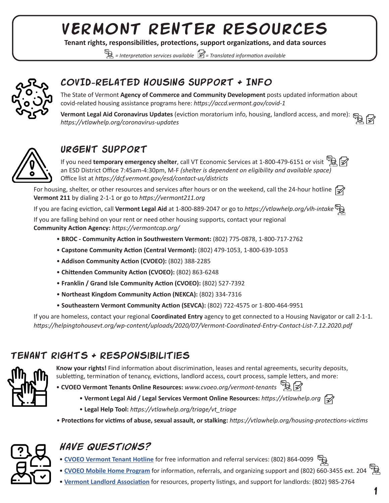# VERMONT Renter Resources

**Tenant rights, responsibilities, protections, support organizations, and data sources**

 *= Interpretation services available = Translated information available* 



### COVID-Related Housing Support & INFO

The State of Vermont **Agency of Commerce and Community Development** posts updated information about covid-related housing assistance programs here: *https://accd.vermont.gov/covid-1*

**Vermont Legal Aid Coronavirus Updates** (eviction moratorium info, housing, landlord access, and more):  $\mathbb{R}$ *https://vtlawhelp.org/coronavirus-updates* 



### Urgent Support

If you need **temporary emergency shelter**, call VT Economic Services at 1-800-479-6151 or visit an ESD District Office 7:45am-4:30pm, M-F *(shelter is dependent on eligibility and available space)*  Office list at *https://dcf.vermont.gov/esd/contact-us/districts* 

For housing, shelter, or other resources and services after hours or on the weekend, call the 24-hour hotline  $\vec{z}$ **Vermont 211** by dialing 2-1-1 or go to *https://vermont211.org*

If you are facing eviction, call **Vermont Legal Aid** at 1-800-889-2047 or go to *https://vtlawhelp.org/vlh-intake*

If you are falling behind on your rent or need other housing supports, contact your regional **Community Action Agency:** *https://vermontcap.org/*

- **BROC Community Action in Southwestern Vermont:** (802) 775-0878, 1-800-717-2762
- **Capstone Community Action (Central Vermont):** (802) 479-1053, 1-800-639-1053
- **Addison Community Action (CVOEO):** (802) 388-2285
- **Chittenden Community Action (CVOEO):** (802) 863-6248
- **Franklin / Grand Isle Community Action (CVOEO):** (802) 527-7392
- **Northeast Kingdom Community Action (NEKCA):** (802) 334-7316
- **Southeastern Vermont Community Action (SEVCA):** (802) 722-4575 or 1-800-464-9951

If you are homeless, contact your regional **Coordinated Entry** agency to get connected to a Housing Navigator or call 2-1-1. *https://helpingtohousevt.org/wp-content/uploads/2020/07/Vermont-Coordinated-Entry-Contact-List-7.12.2020.pdf* 

#### $ENANT$  RIGHTS  $+$  RESPONSIBILITIES



**Know your rights!** Find information about discrimination, leases and rental agreements, security deposits, subletting, termination of tenancy, evictions, landlord access, court process, sample letters, and more:

- **CVOEO Vermont Tenants Online Resources:** *www.cvoeo.org/vermont-tenants*
	- **Vermont Legal Aid / Legal Services Vermont Online Resources:** *https://vtlawhelp.org*
	- **Legal Help Tool:** *https://vtlawhelp.org/triage/vt\_triage*
- **Protections for victims of abuse, sexual assault, or stalking:** *https://vtlawhelp.org/housing-protections-victims*



### *Have questions?*

- **CVOEO Vermont Tenant Hotline** for free information and referral services: (802) 864-0099
- **CVOEO Mobile Home Program** for information, referrals, and organizing support and (802) 660-3455 ext. 204
- **Vermont Landlord Association** for resources, property listings, and support for landlords: (802) 985-2764